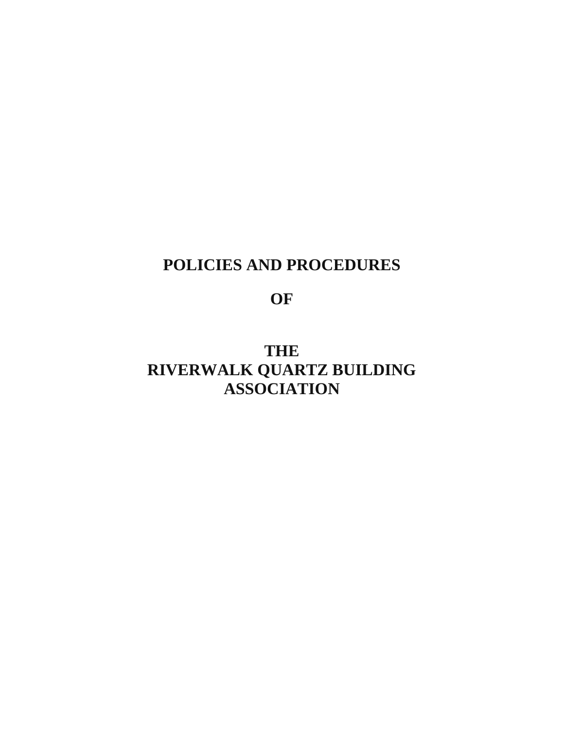# **POLICIES AND PROCEDURES**

**OF** 

**THE RIVERWALK QUARTZ BUILDING ASSOCIATION**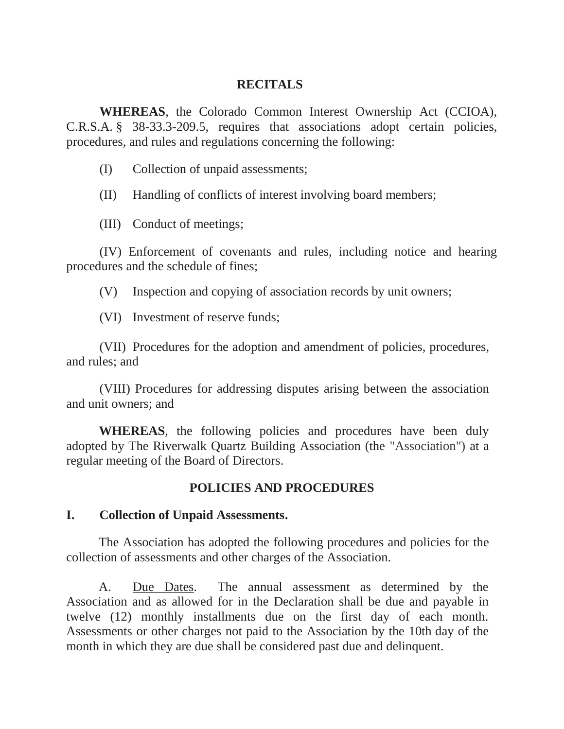#### **RECITALS**

**WHEREAS**, the Colorado Common Interest Ownership Act (CCIOA), C.R.S.A. § 38-33.3-209.5, requires that associations adopt certain policies, procedures, and rules and regulations concerning the following:

(I) Collection of unpaid assessments;

(II) Handling of conflicts of interest involving board members;

(III) Conduct of meetings;

(IV) Enforcement of covenants and rules, including notice and hearing procedures and the schedule of fines;

(V) Inspection and copying of association records by unit owners;

(VI) Investment of reserve funds;

(VII) Procedures for the adoption and amendment of policies, procedures, and rules; and

(VIII) Procedures for addressing disputes arising between the association and unit owners; and

**WHEREAS**, the following policies and procedures have been duly adopted by The Riverwalk Quartz Building Association (the "Association") at a regular meeting of the Board of Directors.

#### **POLICIES AND PROCEDURES**

#### **I. Collection of Unpaid Assessments.**

The Association has adopted the following procedures and policies for the collection of assessments and other charges of the Association.

A. Due Dates. The annual assessment as determined by the Association and as allowed for in the Declaration shall be due and payable in twelve (12) monthly installments due on the first day of each month. Assessments or other charges not paid to the Association by the 10th day of the month in which they are due shall be considered past due and delinquent.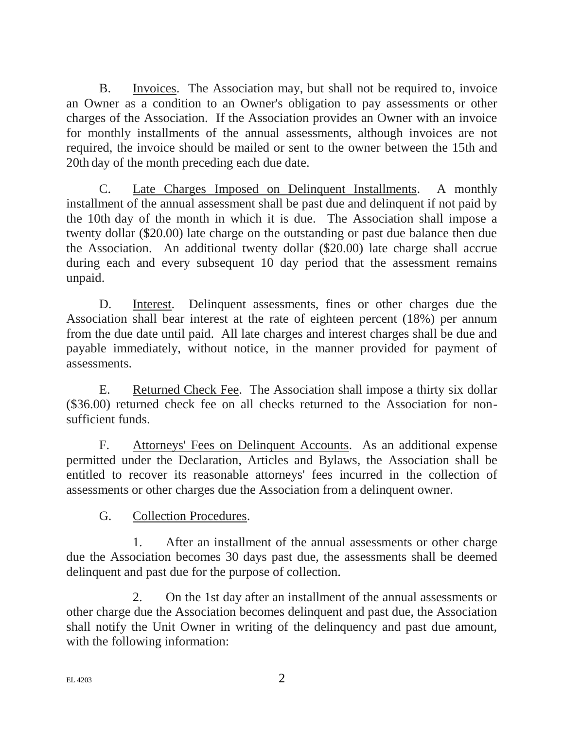B. Invoices. The Association may, but shall not be required to, invoice an Owner as a condition to an Owner's obligation to pay assessments or other charges of the Association. If the Association provides an Owner with an invoice for monthly installments of the annual assessments, although invoices are not required, the invoice should be mailed or sent to the owner between the 15th and 20th day of the month preceding each due date.

C. Late Charges Imposed on Delinquent Installments. A monthly installment of the annual assessment shall be past due and delinquent if not paid by the 10th day of the month in which it is due. The Association shall impose a twenty dollar (\$20.00) late charge on the outstanding or past due balance then due the Association. An additional twenty dollar (\$20.00) late charge shall accrue during each and every subsequent 10 day period that the assessment remains unpaid.

D. Interest. Delinquent assessments, fines or other charges due the Association shall bear interest at the rate of eighteen percent (18%) per annum from the due date until paid. All late charges and interest charges shall be due and payable immediately, without notice, in the manner provided for payment of assessments.

E. Returned Check Fee. The Association shall impose a thirty six dollar (\$36.00) returned check fee on all checks returned to the Association for nonsufficient funds.

F. Attorneys' Fees on Delinquent Accounts. As an additional expense permitted under the Declaration, Articles and Bylaws, the Association shall be entitled to recover its reasonable attorneys' fees incurred in the collection of assessments or other charges due the Association from a delinquent owner.

G. Collection Procedures.

1. After an installment of the annual assessments or other charge due the Association becomes 30 days past due, the assessments shall be deemed delinquent and past due for the purpose of collection.

2. On the 1st day after an installment of the annual assessments or other charge due the Association becomes delinquent and past due, the Association shall notify the Unit Owner in writing of the delinquency and past due amount, with the following information: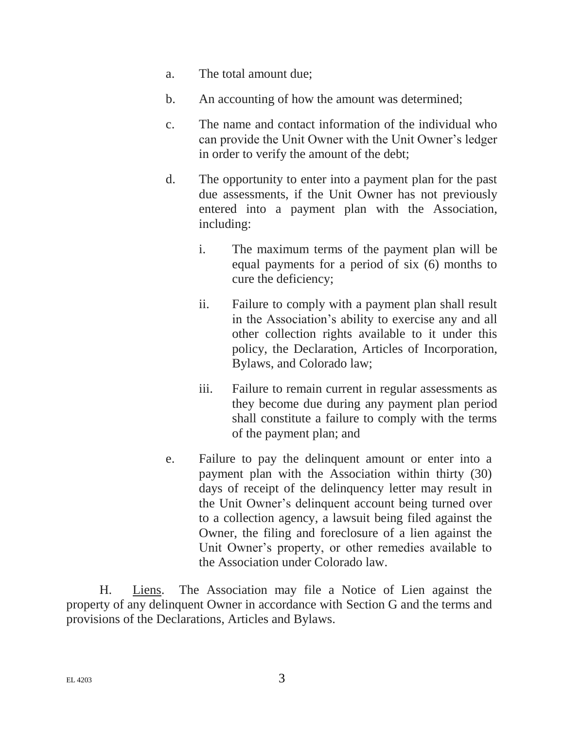- a. The total amount due;
- b. An accounting of how the amount was determined;
- c. The name and contact information of the individual who can provide the Unit Owner with the Unit Owner's ledger in order to verify the amount of the debt;
- d. The opportunity to enter into a payment plan for the past due assessments, if the Unit Owner has not previously entered into a payment plan with the Association, including:
	- i. The maximum terms of the payment plan will be equal payments for a period of six (6) months to cure the deficiency;
	- ii. Failure to comply with a payment plan shall result in the Association's ability to exercise any and all other collection rights available to it under this policy, the Declaration, Articles of Incorporation, Bylaws, and Colorado law;
	- iii. Failure to remain current in regular assessments as they become due during any payment plan period shall constitute a failure to comply with the terms of the payment plan; and
- e. Failure to pay the delinquent amount or enter into a payment plan with the Association within thirty (30) days of receipt of the delinquency letter may result in the Unit Owner's delinquent account being turned over to a collection agency, a lawsuit being filed against the Owner, the filing and foreclosure of a lien against the Unit Owner's property, or other remedies available to the Association under Colorado law.

H. Liens. The Association may file a Notice of Lien against the property of any delinquent Owner in accordance with Section G and the terms and provisions of the Declarations, Articles and Bylaws.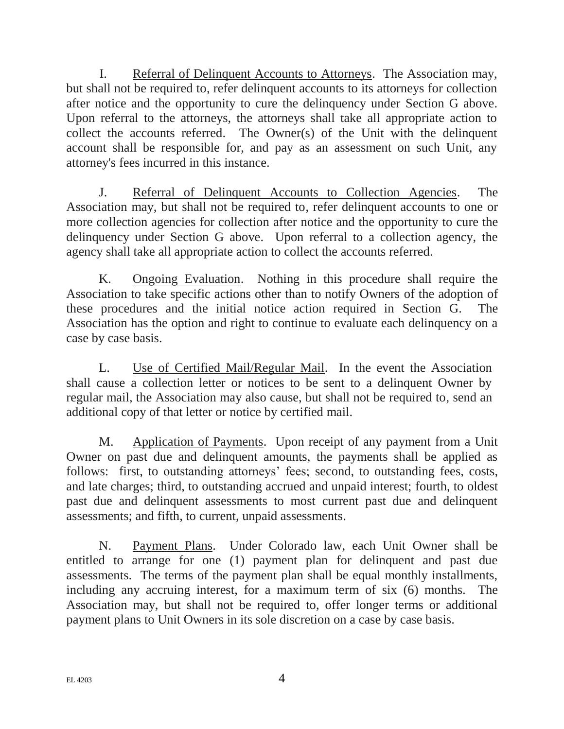I. Referral of Delinquent Accounts to Attorneys. The Association may, but shall not be required to, refer delinquent accounts to its attorneys for collection after notice and the opportunity to cure the delinquency under Section G above. Upon referral to the attorneys, the attorneys shall take all appropriate action to collect the accounts referred. The Owner(s) of the Unit with the delinquent account shall be responsible for, and pay as an assessment on such Unit, any attorney's fees incurred in this instance.

J. Referral of Delinquent Accounts to Collection Agencies. The Association may, but shall not be required to, refer delinquent accounts to one or more collection agencies for collection after notice and the opportunity to cure the delinquency under Section G above. Upon referral to a collection agency, the agency shall take all appropriate action to collect the accounts referred.

K. Ongoing Evaluation. Nothing in this procedure shall require the Association to take specific actions other than to notify Owners of the adoption of these procedures and the initial notice action required in Section G. The Association has the option and right to continue to evaluate each delinquency on a case by case basis.

L. Use of Certified Mail/Regular Mail. In the event the Association shall cause a collection letter or notices to be sent to a delinquent Owner by regular mail, the Association may also cause, but shall not be required to, send an additional copy of that letter or notice by certified mail.

M. Application of Payments. Upon receipt of any payment from a Unit Owner on past due and delinquent amounts, the payments shall be applied as follows: first, to outstanding attorneys' fees; second, to outstanding fees, costs, and late charges; third, to outstanding accrued and unpaid interest; fourth, to oldest past due and delinquent assessments to most current past due and delinquent assessments; and fifth, to current, unpaid assessments.

N. Payment Plans. Under Colorado law, each Unit Owner shall be entitled to arrange for one (1) payment plan for delinquent and past due assessments. The terms of the payment plan shall be equal monthly installments, including any accruing interest, for a maximum term of six (6) months. The Association may, but shall not be required to, offer longer terms or additional payment plans to Unit Owners in its sole discretion on a case by case basis.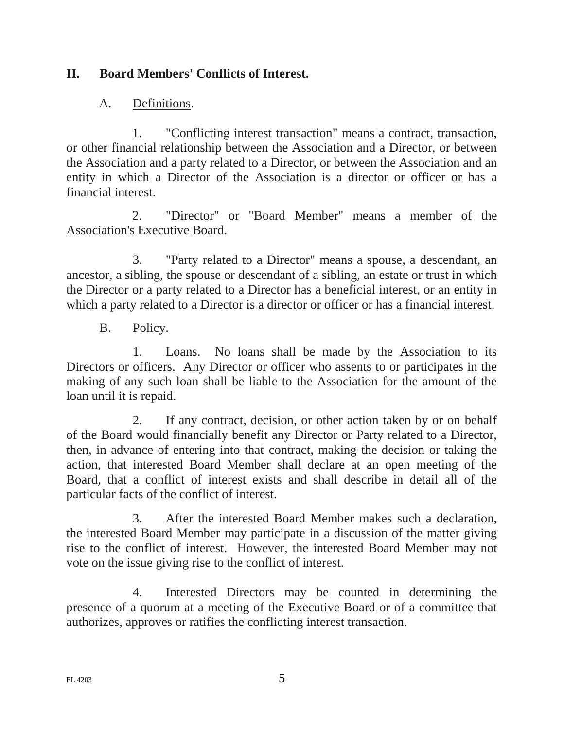## **II. Board Members' Conflicts of Interest.**

#### A. Definitions.

1. "Conflicting interest transaction" means a contract, transaction, or other financial relationship between the Association and a Director, or between the Association and a party related to a Director, or between the Association and an entity in which a Director of the Association is a director or officer or has a financial interest.

2. "Director" or "Board Member" means a member of the Association's Executive Board.

3. "Party related to a Director" means a spouse, a descendant, an ancestor, a sibling, the spouse or descendant of a sibling, an estate or trust in which the Director or a party related to a Director has a beneficial interest, or an entity in which a party related to a Director is a director or officer or has a financial interest.

B. Policy.

1. Loans. No loans shall be made by the Association to its Directors or officers. Any Director or officer who assents to or participates in the making of any such loan shall be liable to the Association for the amount of the loan until it is repaid.

2. If any contract, decision, or other action taken by or on behalf of the Board would financially benefit any Director or Party related to a Director, then, in advance of entering into that contract, making the decision or taking the action, that interested Board Member shall declare at an open meeting of the Board, that a conflict of interest exists and shall describe in detail all of the particular facts of the conflict of interest.

3. After the interested Board Member makes such a declaration, the interested Board Member may participate in a discussion of the matter giving rise to the conflict of interest. However, the interested Board Member may not vote on the issue giving rise to the conflict of interest.

4. Interested Directors may be counted in determining the presence of a quorum at a meeting of the Executive Board or of a committee that authorizes, approves or ratifies the conflicting interest transaction.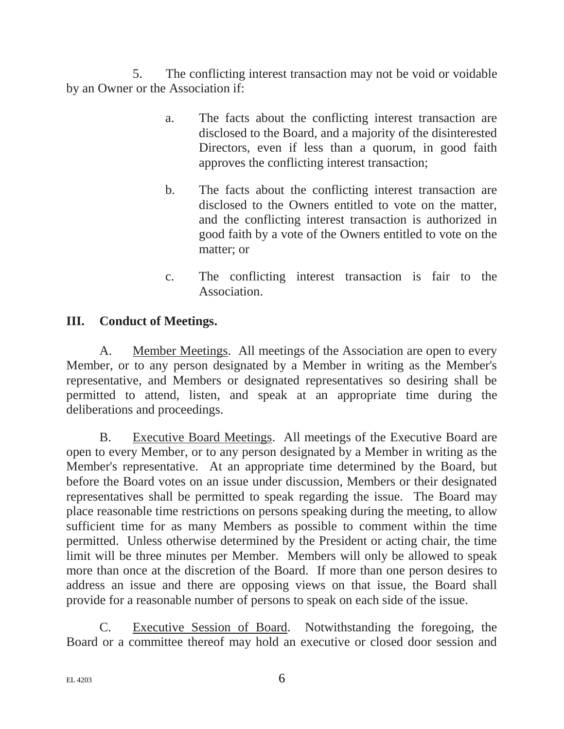5. The conflicting interest transaction may not be void or voidable by an Owner or the Association if:

- a. The facts about the conflicting interest transaction are disclosed to the Board, and a majority of the disinterested Directors, even if less than a quorum, in good faith approves the conflicting interest transaction;
- b. The facts about the conflicting interest transaction are disclosed to the Owners entitled to vote on the matter, and the conflicting interest transaction is authorized in good faith by a vote of the Owners entitled to vote on the matter; or
- c. The conflicting interest transaction is fair to the Association.

## **III. Conduct of Meetings.**

A. Member Meetings. All meetings of the Association are open to every Member, or to any person designated by a Member in writing as the Member's representative, and Members or designated representatives so desiring shall be permitted to attend, listen, and speak at an appropriate time during the deliberations and proceedings.

B. Executive Board Meetings. All meetings of the Executive Board are open to every Member, or to any person designated by a Member in writing as the Member's representative. At an appropriate time determined by the Board, but before the Board votes on an issue under discussion, Members or their designated representatives shall be permitted to speak regarding the issue. The Board may place reasonable time restrictions on persons speaking during the meeting, to allow sufficient time for as many Members as possible to comment within the time permitted. Unless otherwise determined by the President or acting chair, the time limit will be three minutes per Member. Members will only be allowed to speak more than once at the discretion of the Board. If more than one person desires to address an issue and there are opposing views on that issue, the Board shall provide for a reasonable number of persons to speak on each side of the issue.

C. Executive Session of Board. Notwithstanding the foregoing, the Board or a committee thereof may hold an executive or closed door session and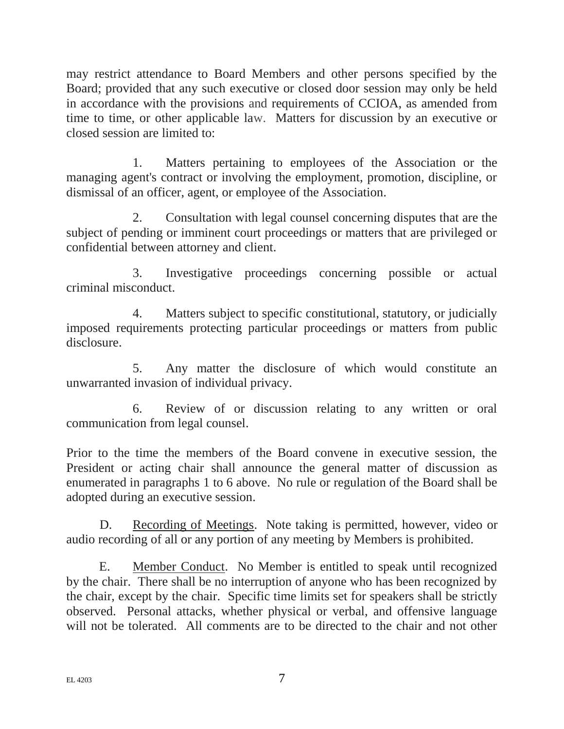may restrict attendance to Board Members and other persons specified by the Board; provided that any such executive or closed door session may only be held in accordance with the provisions and requirements of CCIOA, as amended from time to time, or other applicable law. Matters for discussion by an executive or closed session are limited to:

1. Matters pertaining to employees of the Association or the managing agent's contract or involving the employment, promotion, discipline, or dismissal of an officer, agent, or employee of the Association.

2. Consultation with legal counsel concerning disputes that are the subject of pending or imminent court proceedings or matters that are privileged or confidential between attorney and client.

3. Investigative proceedings concerning possible or actual criminal misconduct.

4. Matters subject to specific constitutional, statutory, or judicially imposed requirements protecting particular proceedings or matters from public disclosure.

5. Any matter the disclosure of which would constitute an unwarranted invasion of individual privacy.

6. Review of or discussion relating to any written or oral communication from legal counsel.

Prior to the time the members of the Board convene in executive session, the President or acting chair shall announce the general matter of discussion as enumerated in paragraphs 1 to 6 above. No rule or regulation of the Board shall be adopted during an executive session.

D. Recording of Meetings. Note taking is permitted, however, video or audio recording of all or any portion of any meeting by Members is prohibited.

E. Member Conduct. No Member is entitled to speak until recognized by the chair. There shall be no interruption of anyone who has been recognized by the chair, except by the chair. Specific time limits set for speakers shall be strictly observed. Personal attacks, whether physical or verbal, and offensive language will not be tolerated. All comments are to be directed to the chair and not other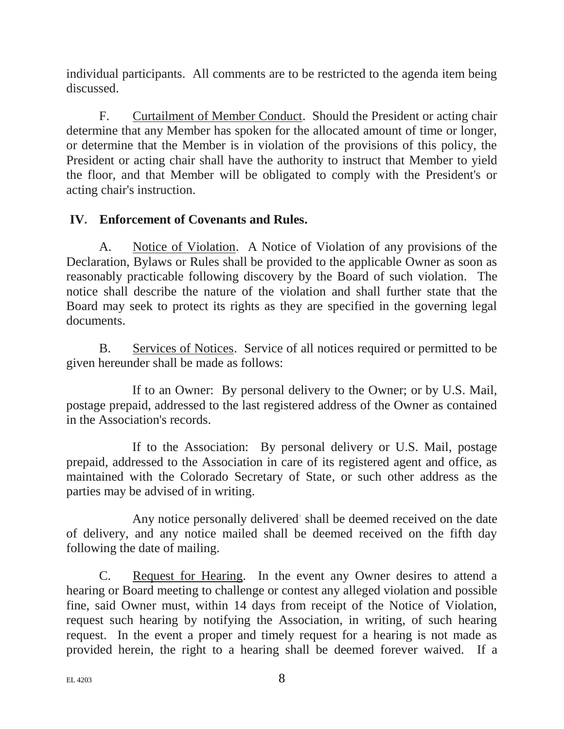individual participants. All comments are to be restricted to the agenda item being discussed.

F. Curtailment of Member Conduct. Should the President or acting chair determine that any Member has spoken for the allocated amount of time or longer, or determine that the Member is in violation of the provisions of this policy, the President or acting chair shall have the authority to instruct that Member to yield the floor, and that Member will be obligated to comply with the President's or acting chair's instruction.

## **IV. Enforcement of Covenants and Rules.**

A. Notice of Violation. A Notice of Violation of any provisions of the Declaration, Bylaws or Rules shall be provided to the applicable Owner as soon as reasonably practicable following discovery by the Board of such violation. The notice shall describe the nature of the violation and shall further state that the Board may seek to protect its rights as they are specified in the governing legal documents.

B. Services of Notices. Service of all notices required or permitted to be given hereunder shall be made as follows:

If to an Owner: By personal delivery to the Owner; or by U.S. Mail, postage prepaid, addressed to the last registered address of the Owner as contained in the Association's records.

If to the Association: By personal delivery or U.S. Mail, postage prepaid, addressed to the Association in care of its registered agent and office, as maintained with the Colorado Secretary of State, or such other address as the parties may be advised of in writing.

Any notice personally delivered' shall be deemed received on the date of delivery, and any notice mailed shall be deemed received on the fifth day following the date of mailing.

C. Request for Hearing. In the event any Owner desires to attend a hearing or Board meeting to challenge or contest any alleged violation and possible fine, said Owner must, within 14 days from receipt of the Notice of Violation, request such hearing by notifying the Association, in writing, of such hearing request. In the event a proper and timely request for a hearing is not made as provided herein, the right to a hearing shall be deemed forever waived. If a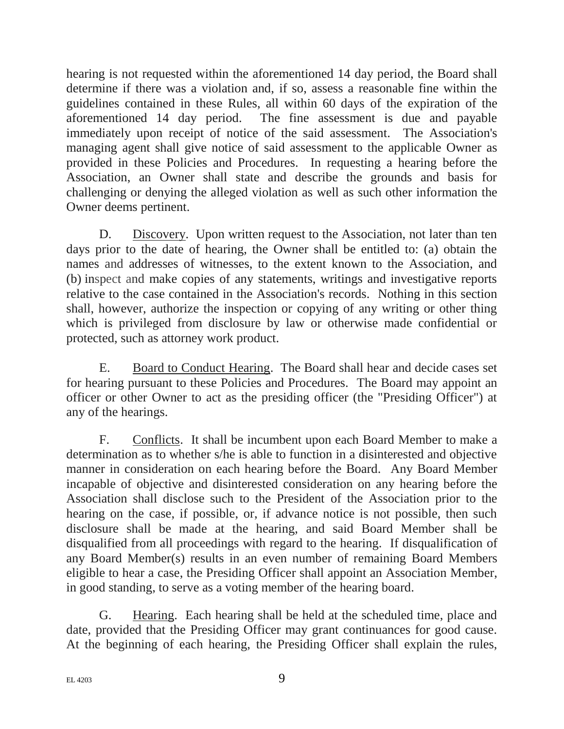hearing is not requested within the aforementioned 14 day period, the Board shall determine if there was a violation and, if so, assess a reasonable fine within the guidelines contained in these Rules, all within 60 days of the expiration of the aforementioned 14 day period. The fine assessment is due and payable immediately upon receipt of notice of the said assessment. The Association's managing agent shall give notice of said assessment to the applicable Owner as provided in these Policies and Procedures. In requesting a hearing before the Association, an Owner shall state and describe the grounds and basis for challenging or denying the alleged violation as well as such other information the Owner deems pertinent.

D. Discovery. Upon written request to the Association, not later than ten days prior to the date of hearing, the Owner shall be entitled to: (a) obtain the names and addresses of witnesses, to the extent known to the Association, and (b) inspect and make copies of any statements, writings and investigative reports relative to the case contained in the Association's records. Nothing in this section shall, however, authorize the inspection or copying of any writing or other thing which is privileged from disclosure by law or otherwise made confidential or protected, such as attorney work product.

E. Board to Conduct Hearing. The Board shall hear and decide cases set for hearing pursuant to these Policies and Procedures. The Board may appoint an officer or other Owner to act as the presiding officer (the "Presiding Officer") at any of the hearings.

F. Conflicts. It shall be incumbent upon each Board Member to make a determination as to whether s/he is able to function in a disinterested and objective manner in consideration on each hearing before the Board. Any Board Member incapable of objective and disinterested consideration on any hearing before the Association shall disclose such to the President of the Association prior to the hearing on the case, if possible, or, if advance notice is not possible, then such disclosure shall be made at the hearing, and said Board Member shall be disqualified from all proceedings with regard to the hearing. If disqualification of any Board Member(s) results in an even number of remaining Board Members eligible to hear a case, the Presiding Officer shall appoint an Association Member, in good standing, to serve as a voting member of the hearing board.

G. Hearing. Each hearing shall be held at the scheduled time, place and date, provided that the Presiding Officer may grant continuances for good cause. At the beginning of each hearing, the Presiding Officer shall explain the rules,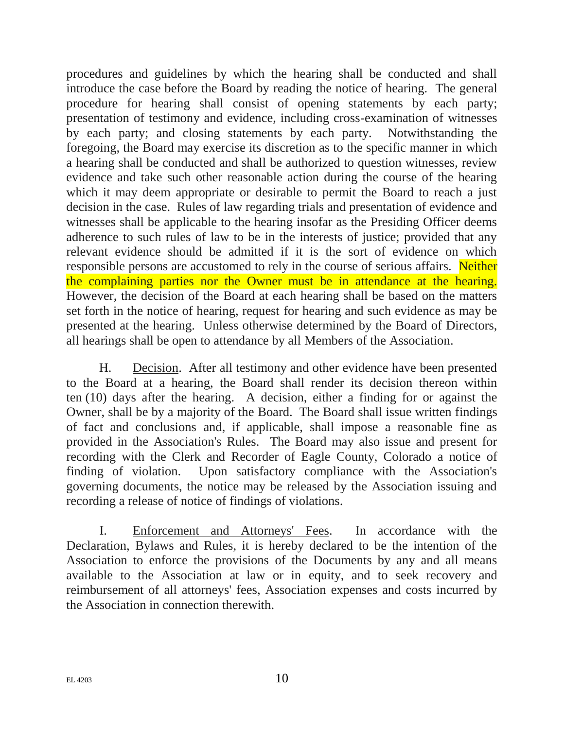procedures and guidelines by which the hearing shall be conducted and shall introduce the case before the Board by reading the notice of hearing. The general procedure for hearing shall consist of opening statements by each party; presentation of testimony and evidence, including cross-examination of witnesses by each party; and closing statements by each party. Notwithstanding the foregoing, the Board may exercise its discretion as to the specific manner in which a hearing shall be conducted and shall be authorized to question witnesses, review evidence and take such other reasonable action during the course of the hearing which it may deem appropriate or desirable to permit the Board to reach a just decision in the case. Rules of law regarding trials and presentation of evidence and witnesses shall be applicable to the hearing insofar as the Presiding Officer deems adherence to such rules of law to be in the interests of justice; provided that any relevant evidence should be admitted if it is the sort of evidence on which responsible persons are accustomed to rely in the course of serious affairs. Neither the complaining parties nor the Owner must be in attendance at the hearing. However, the decision of the Board at each hearing shall be based on the matters set forth in the notice of hearing, request for hearing and such evidence as may be presented at the hearing. Unless otherwise determined by the Board of Directors, all hearings shall be open to attendance by all Members of the Association.

H. Decision. After all testimony and other evidence have been presented to the Board at a hearing, the Board shall render its decision thereon within ten (10) days after the hearing. A decision, either a finding for or against the Owner, shall be by a majority of the Board. The Board shall issue written findings of fact and conclusions and, if applicable, shall impose a reasonable fine as provided in the Association's Rules. The Board may also issue and present for recording with the Clerk and Recorder of Eagle County, Colorado a notice of finding of violation. Upon satisfactory compliance with the Association's governing documents, the notice may be released by the Association issuing and recording a release of notice of findings of violations.

I. Enforcement and Attorneys' Fees. In accordance with the Declaration, Bylaws and Rules, it is hereby declared to be the intention of the Association to enforce the provisions of the Documents by any and all means available to the Association at law or in equity, and to seek recovery and reimbursement of all attorneys' fees, Association expenses and costs incurred by the Association in connection therewith.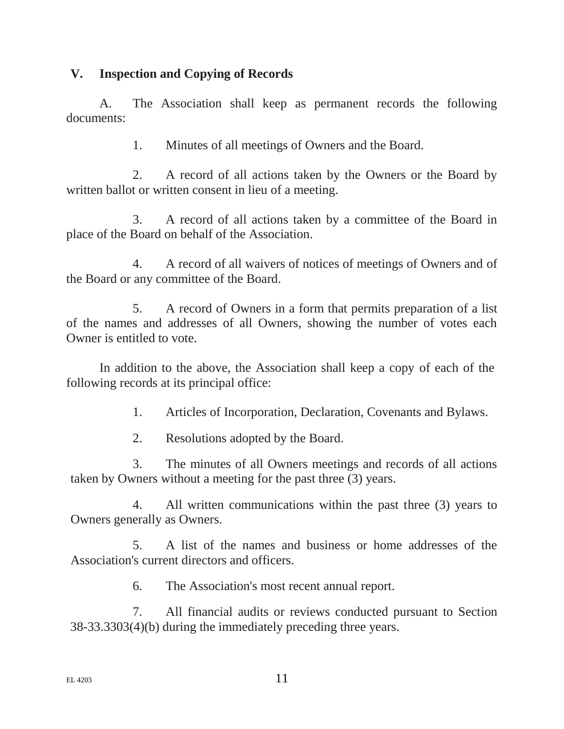#### **V. Inspection and Copying of Records**

A. The Association shall keep as permanent records the following documents:

1. Minutes of all meetings of Owners and the Board.

2. A record of all actions taken by the Owners or the Board by written ballot or written consent in lieu of a meeting.

3. A record of all actions taken by a committee of the Board in place of the Board on behalf of the Association.

4. A record of all waivers of notices of meetings of Owners and of the Board or any committee of the Board.

5. A record of Owners in a form that permits preparation of a list of the names and addresses of all Owners, showing the number of votes each Owner is entitled to vote.

In addition to the above, the Association shall keep a copy of each of the following records at its principal office:

1. Articles of Incorporation, Declaration, Covenants and Bylaws.

2. Resolutions adopted by the Board.

3. The minutes of all Owners meetings and records of all actions taken by Owners without a meeting for the past three (3) years.

4. All written communications within the past three (3) years to Owners generally as Owners.

5. A list of the names and business or home addresses of the Association's current directors and officers.

6. The Association's most recent annual report.

7. All financial audits or reviews conducted pursuant to Section 38-33.3303(4)(b) during the immediately preceding three years.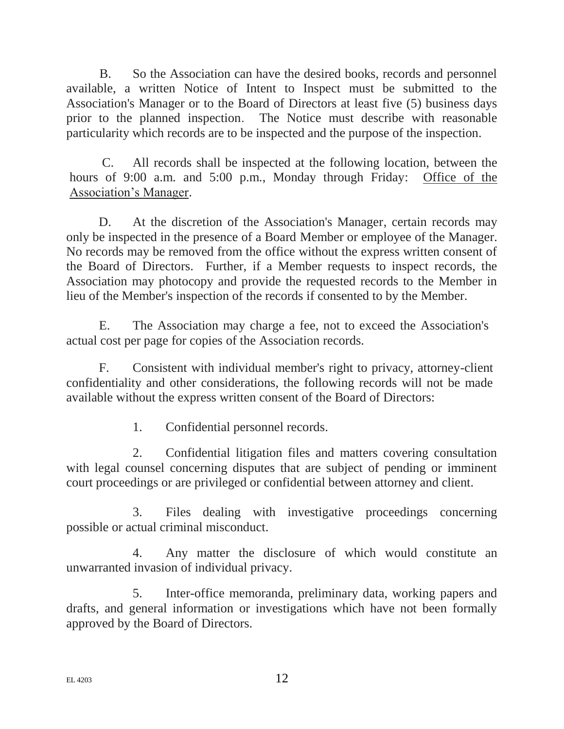B. So the Association can have the desired books, records and personnel available, a written Notice of Intent to Inspect must be submitted to the Association's Manager or to the Board of Directors at least five (5) business days prior to the planned inspection. The Notice must describe with reasonable particularity which records are to be inspected and the purpose of the inspection.

C. All records shall be inspected at the following location, between the hours of 9:00 a.m. and 5:00 p.m., Monday through Friday: Office of the Association's Manager.

D. At the discretion of the Association's Manager, certain records may only be inspected in the presence of a Board Member or employee of the Manager. No records may be removed from the office without the express written consent of the Board of Directors. Further, if a Member requests to inspect records, the Association may photocopy and provide the requested records to the Member in lieu of the Member's inspection of the records if consented to by the Member.

E. The Association may charge a fee, not to exceed the Association's actual cost per page for copies of the Association records.

F. Consistent with individual member's right to privacy, attorney-client confidentiality and other considerations, the following records will not be made available without the express written consent of the Board of Directors:

1. Confidential personnel records.

2. Confidential litigation files and matters covering consultation with legal counsel concerning disputes that are subject of pending or imminent court proceedings or are privileged or confidential between attorney and client.

3. Files dealing with investigative proceedings concerning possible or actual criminal misconduct.

4. Any matter the disclosure of which would constitute an unwarranted invasion of individual privacy.

5. Inter-office memoranda, preliminary data, working papers and drafts, and general information or investigations which have not been formally approved by the Board of Directors.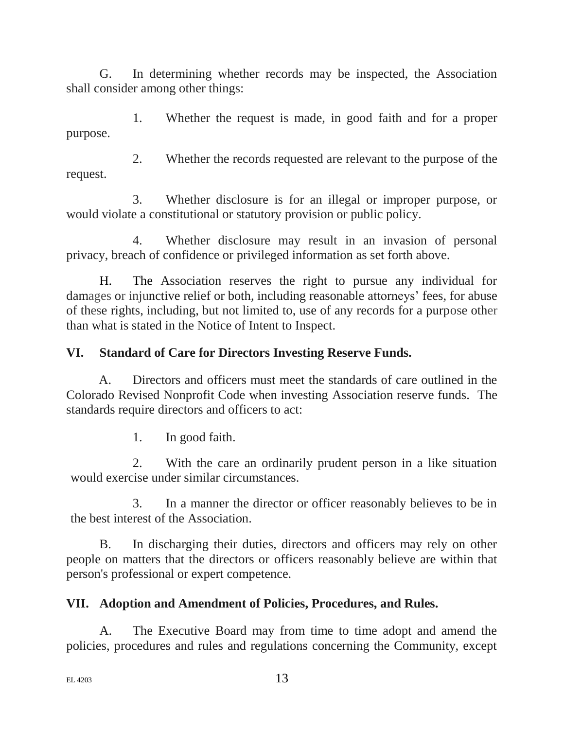G. In determining whether records may be inspected, the Association shall consider among other things:

1. Whether the request is made, in good faith and for a proper purpose.

2. Whether the records requested are relevant to the purpose of the request.

3. Whether disclosure is for an illegal or improper purpose, or would violate a constitutional or statutory provision or public policy.

4. Whether disclosure may result in an invasion of personal privacy, breach of confidence or privileged information as set forth above.

H. The Association reserves the right to pursue any individual for damages or injunctive relief or both, including reasonable attorneys' fees, for abuse of these rights, including, but not limited to, use of any records for a purpose other than what is stated in the Notice of Intent to Inspect.

# **VI. Standard of Care for Directors Investing Reserve Funds.**

A. Directors and officers must meet the standards of care outlined in the Colorado Revised Nonprofit Code when investing Association reserve funds. The standards require directors and officers to act:

1. In good faith.

2. With the care an ordinarily prudent person in a like situation would exercise under similar circumstances.

3. In a manner the director or officer reasonably believes to be in the best interest of the Association.

B. In discharging their duties, directors and officers may rely on other people on matters that the directors or officers reasonably believe are within that person's professional or expert competence.

# **VII. Adoption and Amendment of Policies, Procedures, and Rules.**

A. The Executive Board may from time to time adopt and amend the policies, procedures and rules and regulations concerning the Community, except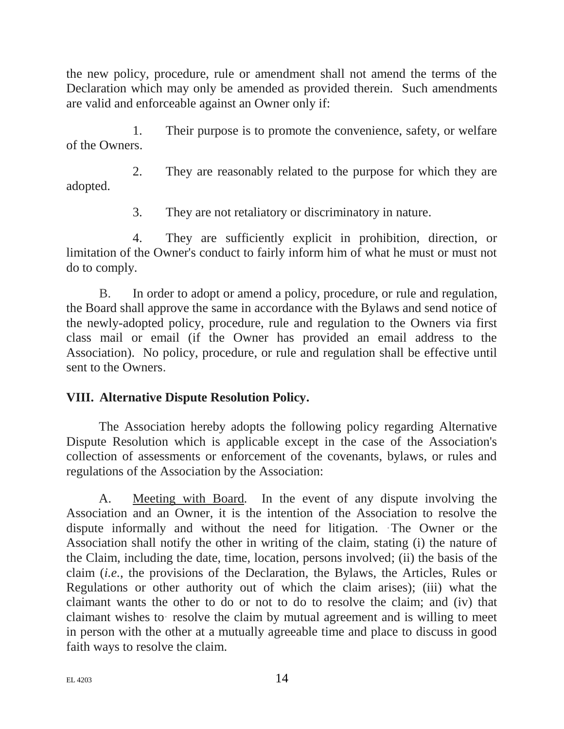the new policy, procedure, rule or amendment shall not amend the terms of the Declaration which may only be amended as provided therein. Such amendments are valid and enforceable against an Owner only if:

1. Their purpose is to promote the convenience, safety, or welfare of the Owners.

2. They are reasonably related to the purpose for which they are adopted.

3. They are not retaliatory or discriminatory in nature.

4. They are sufficiently explicit in prohibition, direction, or limitation of the Owner's conduct to fairly inform him of what he must or must not do to comply.

B. In order to adopt or amend a policy, procedure, or rule and regulation, the Board shall approve the same in accordance with the Bylaws and send notice of the newly-adopted policy, procedure, rule and regulation to the Owners via first class mail or email (if the Owner has provided an email address to the Association). No policy, procedure, or rule and regulation shall be effective until sent to the Owners.

# **VIII. Alternative Dispute Resolution Policy.**

The Association hereby adopts the following policy regarding Alternative Dispute Resolution which is applicable except in the case of the Association's collection of assessments or enforcement of the covenants, bylaws, or rules and regulations of the Association by the Association:

A. Meeting with Board*.* In the event of any dispute involving the Association and an Owner, it is the intention of the Association to resolve the dispute informally and without the need for litigation. The Owner or the Association shall notify the other in writing of the claim, stating (i) the nature of the Claim, including the date, time, location, persons involved; (ii) the basis of the claim (*i.e.*, the provisions of the Declaration, the Bylaws, the Articles, Rules or Regulations or other authority out of which the claim arises); (iii) what the claimant wants the other to do or not to do to resolve the claim; and (iv) that claimant wishes to· resolve the claim by mutual agreement and is willing to meet in person with the other at a mutually agreeable time and place to discuss in good faith ways to resolve the claim.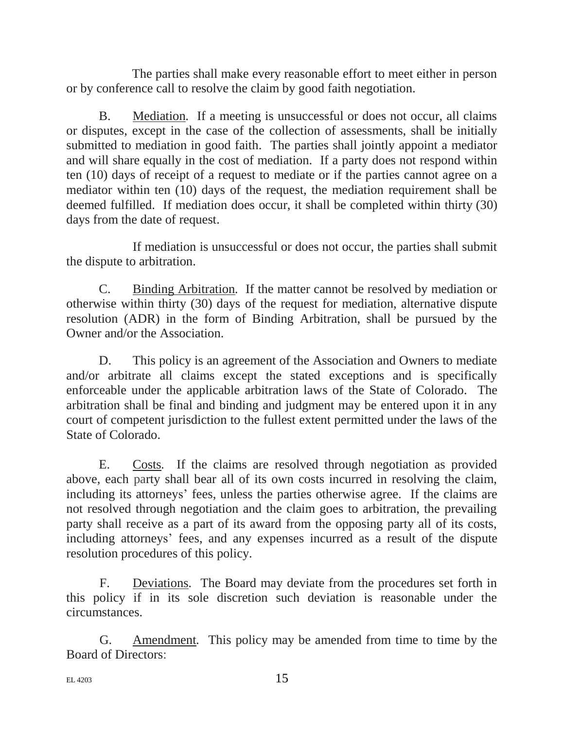The parties shall make every reasonable effort to meet either in person or by conference call to resolve the claim by good faith negotiation.

B. Mediation*.* If a meeting is unsuccessful or does not occur, all claims or disputes, except in the case of the collection of assessments, shall be initially submitted to mediation in good faith. The parties shall jointly appoint a mediator and will share equally in the cost of mediation. If a party does not respond within ten (10) days of receipt of a request to mediate or if the parties cannot agree on a mediator within ten (10) days of the request, the mediation requirement shall be deemed fulfilled. If mediation does occur, it shall be completed within thirty (30) days from the date of request.

If mediation is unsuccessful or does not occur, the parties shall submit the dispute to arbitration.

C. Binding Arbitration*.* If the matter cannot be resolved by mediation or otherwise within thirty (30) days of the request for mediation, alternative dispute resolution (ADR) in the form of Binding Arbitration, shall be pursued by the Owner and/or the Association.

D. This policy is an agreement of the Association and Owners to mediate and/or arbitrate all claims except the stated exceptions and is specifically enforceable under the applicable arbitration laws of the State of Colorado. The arbitration shall be final and binding and judgment may be entered upon it in any court of competent jurisdiction to the fullest extent permitted under the laws of the State of Colorado.

E. Costs*.* If the claims are resolved through negotiation as provided above, each party shall bear all of its own costs incurred in resolving the claim, including its attorneys' fees, unless the parties otherwise agree. If the claims are not resolved through negotiation and the claim goes to arbitration, the prevailing party shall receive as a part of its award from the opposing party all of its costs, including attorneys' fees, and any expenses incurred as a result of the dispute resolution procedures of this policy.

F. Deviations*.* The Board may deviate from the procedures set forth in this policy if in its sole discretion such deviation is reasonable under the circumstances.

G. Amendment*.* This policy may be amended from time to time by the Board of Directors: